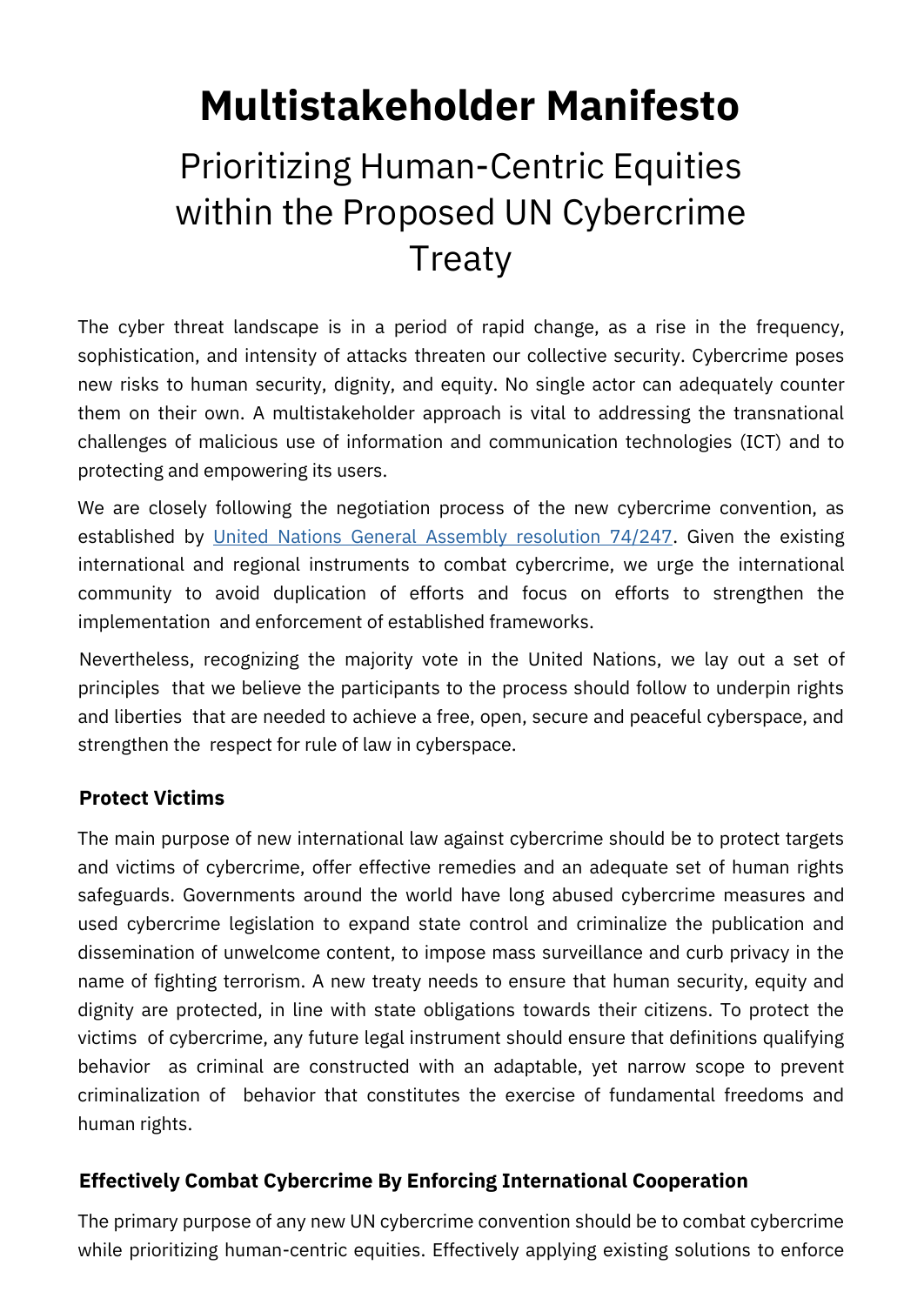# **Multistakeholder Manifesto**

# Prioritizing Human-Centric Equities within the Proposed UN Cybercrime **Treaty**

The cyber threat landscape is in a period of rapid change, as a rise in the frequency, sophistication, and intensity of attacks threaten our collective security. Cybercrime poses new risks to human security, dignity, and equity. No single actor can adequately counter them on their own. A multistakeholder approach is vital to addressing the transnational challenges of malicious use of information and communication technologies (ICT) and to protecting and empowering its users.

We are closely following the negotiation process of the new cybercrime convention, as established by [United Nations General Assembly resolution 74/247.](https://undocs.org/en/A/RES/74/247) Given the existing international and regional instruments to combat cybercrime, we urge the international community to avoid duplication of efforts and focus on efforts to strengthen the implementation and enforcement of established frameworks.

Nevertheless, recognizing the majority vote in the United Nations, we lay out a set of principles that we believe the participants to the process should follow to underpin rights and liberties that are needed to achieve a free, open, secure and peaceful cyberspace, and strengthen the respect for rule of law in cyberspace.

## **Protect Victims**

The main purpose of new international law against cybercrime should be to protect targets and victims of cybercrime, offer effective remedies and an adequate set of human rights safeguards. Governments around the world have long abused cybercrime measures and used cybercrime legislation to expand state control and criminalize the publication and dissemination of unwelcome content, to impose mass surveillance and curb privacy in the name of fighting terrorism. A new treaty needs to ensure that human security, equity and dignity are protected, in line with state obligations towards their citizens. To protect the victims of cybercrime, any future legal instrument should ensure that definitions qualifying behavior as criminal are constructed with an adaptable, yet narrow scope to prevent criminalization of behavior that constitutes the exercise of fundamental freedoms and human rights.

## **Effectively Combat Cybercrime By Enforcing International Cooperation**

The primary purpose of any new UN cybercrime convention should be to combat cybercrime while prioritizing human-centric equities. Effectively applying existing solutions to enforce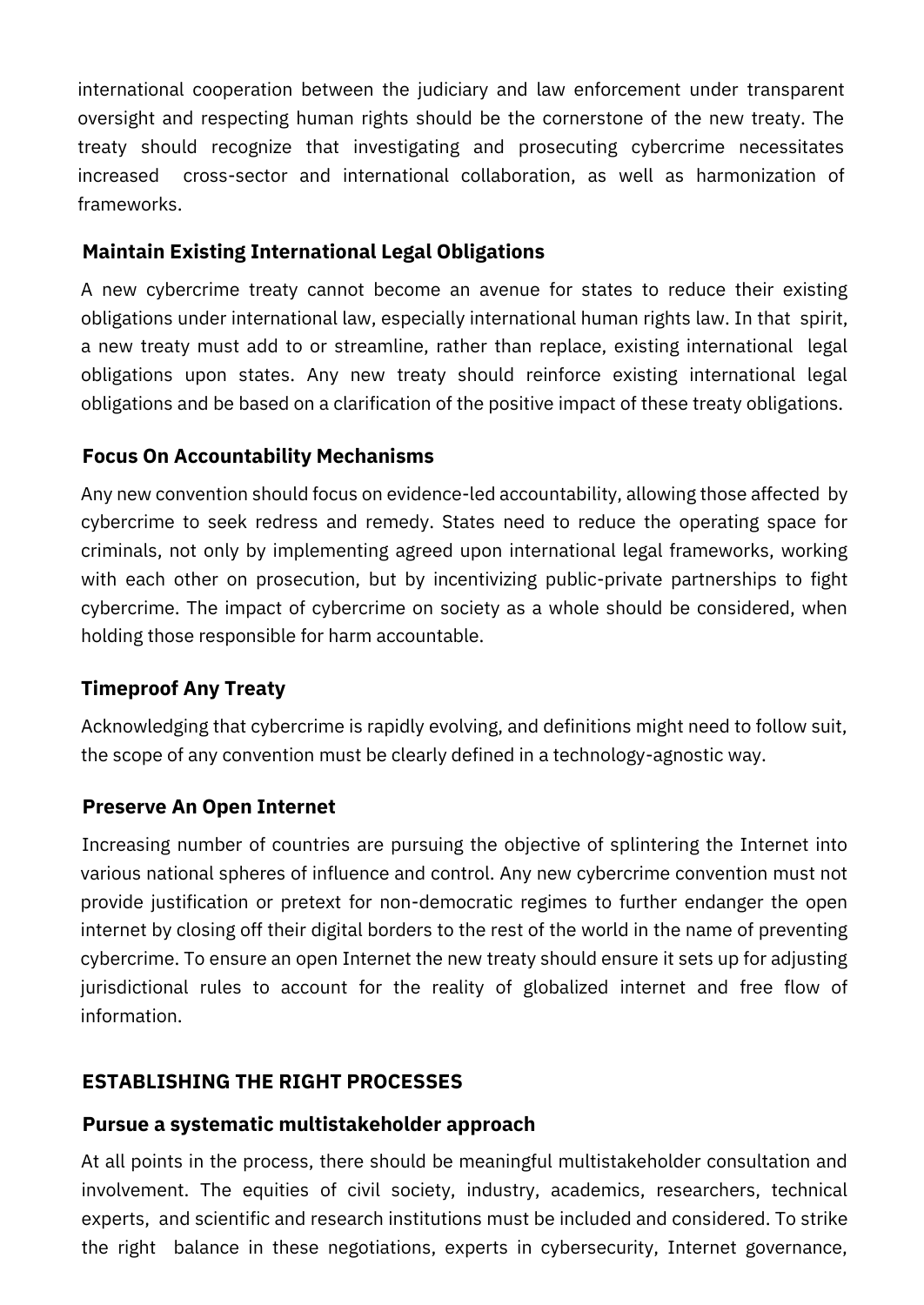international cooperation between the judiciary and law enforcement under transparent oversight and respecting human rights should be the cornerstone of the new treaty. The treaty should recognize that investigating and prosecuting cybercrime necessitates increased cross-sector and international collaboration, as well as harmonization of frameworks.

## **Maintain Existing International Legal Obligations**

A new cybercrime treaty cannot become an avenue for states to reduce their existing obligations under international law, especially international human rights law. In that spirit, a new treaty must add to or streamline, rather than replace, existing international legal obligations upon states. Any new treaty should reinforce existing international legal obligations and be based on a clarification of the positive impact of these treaty obligations.

# **Focus On Accountability Mechanisms**

Any new convention should focus on evidence-led accountability, allowing those affected by cybercrime to seek redress and remedy. States need to reduce the operating space for criminals, not only by implementing agreed upon international legal frameworks, working with each other on prosecution, but by incentivizing public-private partnerships to fight cybercrime. The impact of cybercrime on society as a whole should be considered, when holding those responsible for harm accountable.

# **Timeproof Any Treaty**

Acknowledging that cybercrime is rapidly evolving, and definitions might need to follow suit, the scope of any convention must be clearly defined in a technology-agnostic way.

## **Preserve An Open Internet**

Increasing number of countries are pursuing the objective of splintering the Internet into various national spheres of influence and control. Any new cybercrime convention must not provide justification or pretext for non-democratic regimes to further endanger the open internet by closing off their digital borders to the rest of the world in the name of preventing cybercrime. To ensure an open Internet the new treaty should ensure it sets up for adjusting jurisdictional rules to account for the reality of globalized internet and free flow of information.

## **ESTABLISHING THE RIGHT PROCESSES**

#### **Pursue a systematic multistakeholder approach**

At all points in the process, there should be meaningful multistakeholder consultation and involvement. The equities of civil society, industry, academics, researchers, technical experts, and scientific and research institutions must be included and considered. To strike the right balance in these negotiations, experts in cybersecurity, Internet governance,